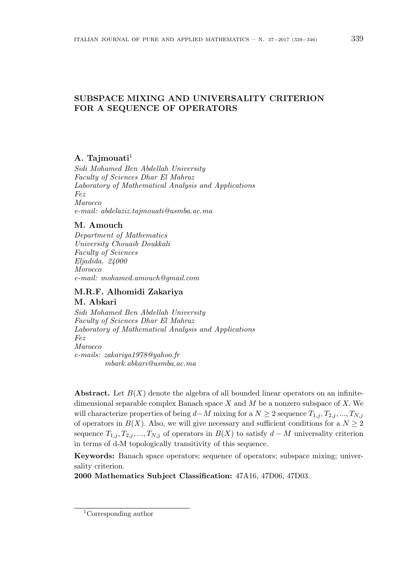# **SUBSPACE MIXING AND UNIVERSALITY CRITERION FOR A SEQUENCE OF OPERATORS**

### **A. Tajmouati**<sup>1</sup>

*Sidi Mohamed Ben Abdellah University Faculty of Sciences Dhar El Mahraz Laboratory of Mathematical Analysis and Applications Fez Marocco e-mail: abdelaziz.tajmouati@usmba.ac.ma*

#### **M. Amouch**

*Department of Mathematics University Chouaib Doukkali Faculty of Sciences Eljadida. 24000 Morocco e-mail: mohamed.amouch@gmail.com*

## **M.R.F. Alhomidi Zakariya**

### **M. Abkari**

*Sidi Mohamed Ben Abdellah University Faculty of Sciences Dhar El Mahraz Laboratory of Mathematical Analysis and Applications Fez Marocco e-mails: zakariya1978@yahoo.fr mbark.abkari@usmba.ac.ma*

**Abstract.** Let  $B(X)$  denote the algebra of all bounded linear operators on an infinitedimensional separable complex Banach space *X* and *M* be a nonzero subspace of *X.* We will characterize properties of being  $d$ *−M* mixing for a  $N \geq 2$  sequence  $T_{1,j}, T_{2,j}, ..., T_{N,j}$ of operators in  $B(X)$ . Also, we will give necessary and sufficient conditions for a  $N \geq 2$ sequence  $T_{1,j}, T_{2,j}, ..., T_{N,j}$  of operators in  $B(X)$  to satisfy  $d - M$  universality criterion in terms of d-M topologically transitivity of this sequence.

**Keywords:** Banach space operators; sequence of operators; subspace mixing; universality criterion.

**2000 Mathematics Subject Classification:** 47A16, 47D06, 47D03.

<sup>1</sup>Corresponding author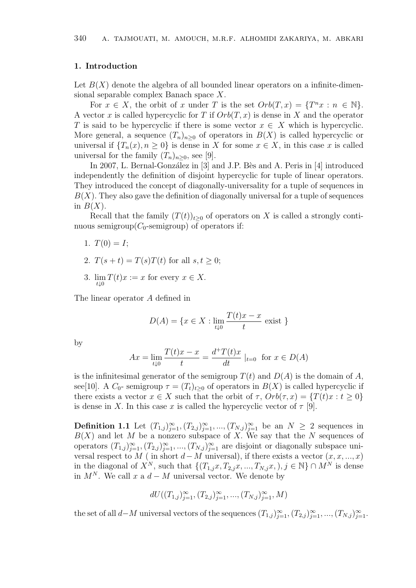#### **1. Introduction**

Let  $B(X)$  denote the algebra of all bounded linear operators on a infinite-dimensional separable complex Banach space *X*.

For  $x \in X$ , the orbit of  $x$  under  $T$  is the set  $Orb(T, x) = \{T^n x : n \in \mathbb{N}\}.$ A vector *x* is called hypercyclic for *T* if *Orb*(*T, x*) is dense in *X* and the operator *T* is said to be hypercyclic if there is some vector  $x \in X$  which is hypercyclic. More general, a sequence  $(T_n)_{n>0}$  of operators in  $B(X)$  is called hypercyclic or universal if  ${T_n(x), n \ge 0}$  is dense in *X* for some  $x \in X$ , in this case *x* is called universal for the family  $(T_n)_{n>0}$ , see [9].

In 2007, L. Bernal-González in [3] and J.P. Bès and A. Peris in [4] introduced independently the definition of disjoint hypercyclic for tuple of linear operators. They introduced the concept of diagonally-universality for a tuple of sequences in  $B(X)$ . They also gave the definition of diagonally universal for a tuple of sequences in  $B(X)$ .

Recall that the family  $(T(t))_{t>0}$  of operators on X is called a strongly continuous semigroup( $C_0$ -semigroup) of operators if:

- 1.  $T(0) = I$ ;
- 2.  $T(s + t) = T(s)T(t)$  for all  $s, t \geq 0$ ;
- 3. lim *t↓*0  $T(t)x := x$  for every  $x \in X$ .

The linear operator *A* defined in

$$
D(A) = \{ x \in X : \lim_{t \downarrow 0} \frac{T(t)x - x}{t} \text{ exist } \}
$$

by

$$
Ax = \lim_{t \downarrow 0} \frac{T(t)x - x}{t} = \frac{d^+T(t)x}{dt} \mid_{t=0} \text{ for } x \in D(A)
$$

is the infinitesimal generator of the semigroup  $T(t)$  and  $D(A)$  is the domain of  $A$ , see[10]. A  $C_0$ - semigroup  $\tau = (T_t)_{t>0}$  of operators in  $B(X)$  is called hypercyclic if there exists a vector  $x \in X$  such that the orbit of  $\tau$ ,  $Orb(\tau, x) = \{T(t)x : t \geq 0\}$ is dense in *X*. In this case *x* is called the hypercyclic vector of  $\tau$  [9].

**Definition 1.1** Let  $(T_{1,j})_{j=1}^{\infty}, (T_{2,j})_{j=1}^{\infty}, ..., (T_{N,j})_{j=1}^{\infty}$  be an  $N \geq 2$  sequences in *B*(*X*) and let *M* be a nonzero subspace of *X.* We say that the *N* sequences of operators  $(T_{1,j})_{j=1}^{\infty}, (T_{2,j})_{j=1}^{\infty}, ..., (T_{N,j})_{j=1}^{\infty}$  are disjoint or diagonally subspace universal respect to  $M$  ( in short  $d$ *−* $M$  universal), if there exists a vector  $(x, x, ..., x)$ in the diagonal of  $X^N$ , such that  $\{(T_{1,j}x, T_{2,j}x, ..., T_{N,j}x, ), j \in \mathbb{N}\}\cap M^N$  is dense in  $M^N$ . We call  $x$  a  $d - M$  universal vector. We denote by

$$
dU((T_{1,j})_{j=1}^{\infty}, (T_{2,j})_{j=1}^{\infty}, ..., (T_{N,j})_{j=1}^{\infty}, M)
$$

the set of all *d*−*M* universal vectors of the sequences  $(T_{1,j})_{j=1}^{\infty}, (T_{2,j})_{j=1}^{\infty}, ..., (T_{N,j})_{j=1}^{\infty}$ .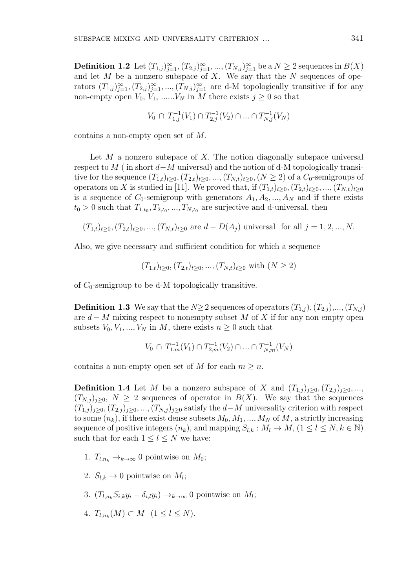**Definition 1.2** Let  $(T_{1,j})_{j=1}^{\infty}, (T_{2,j})_{j=1}^{\infty}, ..., (T_{N,j})_{j=1}^{\infty}$  be a  $N \geq 2$  sequences in  $B(X)$ and let *M* be a nonzero subspace of *X*. We say that the *N* sequences of operators  $(T_{1,j})_{j=1}^{\infty}, (T_{2,j})_{j=1}^{\infty}, ..., (T_{N,j})_{j=1}^{\infty}$  are d-M topologically transitive if for any non-empty open  $V_0$ ,  $V_1$ , ...... $V_N$  in  $M$  there exists  $j \geq 0$  so that

$$
V_0 \cap T_{1,j}^{-1}(V_1) \cap T_{2,j}^{-1}(V_2) \cap \dots \cap T_{N,j}^{-1}(V_N)
$$

contains a non-empty open set of *M.*

Let *M* a nonzero subspace of *X*. The notion diagonally subspace universal respect to *M* ( in short *d−M* universal) and the notion of d-M topologically transitive for the sequence  $(T_{1,t})_{t\geq0}$ ,  $(T_{2,t})_{t\geq0}$ , ...,  $(T_{N,t})_{t\geq0}$ ,  $(N \geq 2)$  of a  $C_0$ -semigroups of operators on *X* is studied in [11]. We proved that, if  $(T_{1,t})_{t\geq0}, (T_{2,t})_{t\geq0}, ..., (T_{N,t})_{t\geq0}$ is a sequence of  $C_0$ -semigroup with generators  $A_1, A_2, ..., A_N$  and if there exists  $t_0 > 0$  such that  $T_{1,t_0}, T_{2,t_0}, \ldots, T_{N,t_0}$  are surjective and d-universal, then

$$
(T_{1,t})_{t\geq 0}
$$
,  $(T_{2,t})_{t\geq 0}$ , ...,  $(T_{N,t})_{t\geq 0}$  are  $d - D(A_j)$  universal for all  $j = 1, 2, ..., N$ .

Also, we give necessary and sufficient condition for which a sequence

$$
(T_{1,t})_{t\geq0}
$$
,  $(T_{2,t})_{t\geq0}$ , ...,  $(T_{N,t})_{t\geq0}$  with  $(N \geq 2)$ 

of  $C_0$ -semigroup to be d-M topologically transitive.

**Definition 1.3** We say that the *N* $\geq$ 2 sequences of operators  $(T_{1,j})$ ,  $(T_{2,j})$ ,...,  $(T_{N,j})$ are *d − M* mixing respect to nonempty subset *M* of *X* if for any non-empty open subsets  $V_0, V_1, ..., V_N$  in *M*, there exists  $n \geq 0$  such that

$$
V_0 \cap T_{1,m}^{-1}(V_1) \cap T_{2,m}^{-1}(V_2) \cap \dots \cap T_{N,m}^{-1}(V_N)
$$

contains a non-empty open set of *M* for each  $m \geq n$ .

**Definition 1.4** Let *M* be a nonzero subspace of *X* and  $(T_{1,j})_{j\geq0}, (T_{2,j})_{j\geq0}, ...,$  $(T_{N,j})_{j\geq0}, N \geq 2$  sequences of operator in  $B(X)$ . We say that the sequences  $(T_{1,j})_{j\geq0}, (T_{2,j})_{j\geq0}, ..., (T_{N,j})_{j\geq0}$  satisfy the *d−M* universality criterion with respect to some  $(n_k)$ , if there exist dense subsets  $M_0, M_1, ..., M_N$  of M, a strictly increasing sequence of positive integers  $(n_k)$ , and mapping  $S_{l,k}: M_l \to M$ ,  $(1 \leq l \leq N, k \in \mathbb{N})$ such that for each  $1 \leq l \leq N$  we have:

- 1.  $T_{l,n_k} \rightarrow_{k \rightarrow \infty} 0$  pointwise on  $M_0$ ;
- 2.  $S_{l,k} \to 0$  pointwise on  $M_l$ ;
- 3.  $(T_{l,n_k}S_{i,k}y_i \delta_{i,l}y_i) \rightarrow k \rightarrow \infty$  0 pointwise on  $M_l$ ;
- 4.  $T_{l,n_k}(M) \subset M \ (1 \leq l \leq N)$ .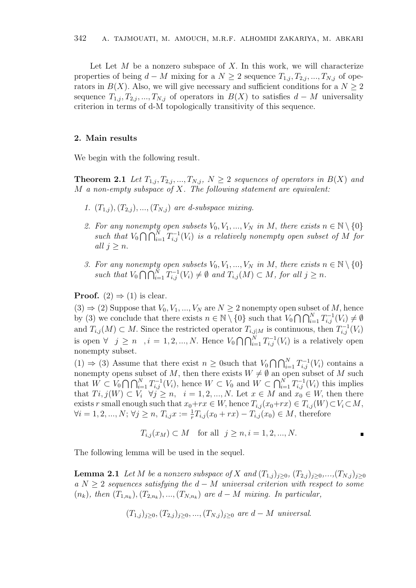Let Let *M* be a nonzero subspace of *X*. In this work, we will characterize properties of being  $d - M$  mixing for a  $N \geq 2$  sequence  $T_{1,i}, T_{2,i}, ..., T_{N,i}$  of operators in  $B(X)$ . Also, we will give necessary and sufficient conditions for a  $N \geq 2$ sequence  $T_{1,j}, T_{2,j}, ..., T_{N,j}$  of operators in  $B(X)$  to satisfies  $d - M$  universality criterion in terms of d-M topologically transitivity of this sequence.

#### **2. Main results**

We begin with the following result.

**Theorem 2.1** *Let*  $T_{1,j}, T_{2,j},..., T_{N,j}, N \geq 2$  *sequences of operators in*  $B(X)$  *and M a non-empty subspace of X. The following statement are equivalent:*

- *1.*  $(T_{1,i})$ ,  $(T_{2,i})$ , ...,  $(T_{N,i})$  are d-subspace mixing.
- 2. For any nonempty open subsets  $V_0, V_1, ..., V_N$  in  $M$ , there exists  $n \in \mathbb{N} \setminus \{0\}$ *such that*  $V_0 \cap \bigcap_{i=1}^N T_{i,j}^{-1}(V_i)$  *is a relatively nonempty open subset of*  $\overline{M}$  *for all*  $j \geq n$ .
- *3. For any nonempty open subsets*  $V_0, V_1, ..., V_N$  *in*  $M$ *, there exists*  $n \in \mathbb{N} \setminus \{0\}$ such that  $V_0 \cap \bigcap_{i=1}^N T_{i,j}^{-1}(V_i) \neq \emptyset$  and  $T_{i,j}(M) \subset M$ , for all  $j \geq n$ .

**Proof.**  $(2) \Rightarrow (1)$  is clear.

 $(3) \Rightarrow (2)$  Suppose that  $V_0, V_1, ..., V_N$  are  $N \geq 2$  nonempty open subset of M, hence by (3) we conclude that there exists  $n \in \mathbb{N} \setminus \{0\}$  such that  $V_0 \cap \bigcap_{i=1}^N T_{i,j}^{-1}(V_i) \neq \emptyset$ and  $T_{i,j}(M) \subset M$ . Since the restricted operator  $T_{i,j|M}$  is continuous, then  $T_{i,j}^{-1}(V_i)$ is open *∀*  $j \ge n$  ,  $i = 1, 2, ..., N$ . Hence  $V_0 \cap \bigcap_{i=1}^N T_{i,j}^{-1}(V_i)$  is a relatively open nonempty subset.

(1)  $\Rightarrow$  (3) Assume that there exist *n* ≥ 0such that  $V_0 \cap \bigcap_{i=1}^N T_{i,j}^{-1}(V_i)$  contains a nonempty opens subset of *M*, then there exists  $W \neq \emptyset$  an open subset of *M* such that  $W \subset V_0 \cap \bigcap_{i=1}^N T_{i,j}^{-1}(V_i)$ , hence  $W \subset V_0$  and  $W \subset \bigcap_{i=1}^N T_{i,j}^{-1}(V_i)$  this implies that  $Ti, j(W) \subset V_i \quad \forall j \geq n, \quad i = 1, 2, ..., N.$  Let  $x \in M$  and  $x_0 \in W$ , then there exists *r* small enough such that  $x_0+r x \in W$ , hence  $T_{i,j}(x_0+r x) \in T_{i,j}(W) \subset V_i \subset M$ ,  $\forall i = 1, 2, ..., N; \forall j \geq n, T_{i,j}x := \frac{1}{r}T_{i,j}(x_0 + rx) - T_{i,j}(x_0) \in M$ , therefore

$$
T_{i,j}(x_M) \subset M
$$
 for all  $j \ge n, i = 1, 2, ..., N$ .

The following lemma will be used in the sequel.

**Lemma 2.1** *Let M be a nonzero subspace of X and*  $(T_{1,j})_{j\geq0}$ ,  $(T_{2,j})_{j\geq0}$ ,..., $(T_{N,j})_{j\geq0}$ *a N ≥* 2 *sequences satisfying the d − M universal criterion with respect to some*  $(n_k)$ , then  $(T_{1,n_k})$ ,  $(T_{2,n_k})$ , ...,  $(T_{N,n_k})$  are  $d-M$  *mixing. In particular,* 

$$
(T_{1,j})_{j\geq 0}, (T_{2,j})_{j\geq 0}, ..., (T_{N,j})_{j\geq 0}
$$
 are  $d-M$  universal.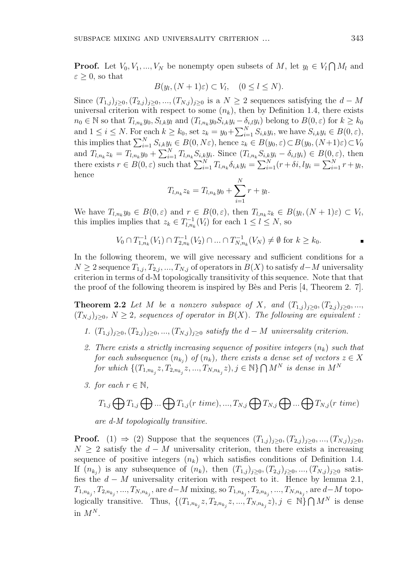**Proof.** Let  $V_0, V_1, ..., V_N$  be nonempty open subsets of *M*, let  $y_l \in V_l \cap M_l$  and  $\varepsilon \geq 0$ , so that

$$
B(y_l, (N+1)\varepsilon) \subset V_l, \quad (0 \le l \le N).
$$

Since  $(T_{1,j})_{j\geq0}$ ,  $(T_{2,j})_{j\geq0}$ , ...,  $(T_{N,j})_{j\geq0}$  is a  $N\geq2$  sequences satisfying the  $d-M$ universal criterion with respect to some  $(n_k)$ , then by Definition 1.4, there exists  $n_0 \in \mathbb{N}$  so that  $T_{l,n_k}y_0, S_{l,k}y_l$  and  $(T_{l,n_k}y_0S_{i,k}y_i - \delta_{i,l}y_i)$  belong to  $B(0,\varepsilon)$  for  $k \geq k_0$ and  $1 \leq i \leq N$ . For each  $k \geq k_0$ , set  $z_k = y_0 + \sum_{i=1}^N S_{i,k} y_i$ , we have  $S_{i,k} y_i \in B(0, \varepsilon)$ , this implies that  $\sum_{i=1}^{N} S_{i,k} y_i \in B(0, N\varepsilon)$ , hence  $z_k \in B(y_0, \varepsilon) \subset B(y_0, (N+1)\varepsilon) \subset V_0$ and  $T_{l,n_k}z_k = T_{l,n_k}y_0 + \sum_{i=1}^{N}T_{l,n_k}S_{i,k}y_i$ . Since  $(T_{l,n_k}S_{i,k}y_i - \delta_{i,l}y_i) \in B(0,\varepsilon)$ , then there exists  $r \in B(0, \varepsilon)$  such that  $\sum_{i=1}^{N} T_{l,n_k} \delta_{i,k} y_i = \sum_{i=1}^{N} (r + \delta i, ly_i = \sum_{i=1}^{N} r + y_i$ , hence

$$
T_{l,n_k} z_k = T_{l,n_k} y_0 + \sum_{i=1}^{N} r + y_i.
$$

We have  $T_{l,n_k}y_0 \in B(0,\varepsilon)$  and  $r \in B(0,\varepsilon)$ , then  $T_{l,n_k}z_k \in B(y_l,(N+1)\varepsilon) \subset V_l$ , this implies implies that  $z_k \in T_{l,n_k}^{-1}(V_l)$  for each  $1 \leq l \leq N$ , so

$$
V_0 \cap T_{1,n_k}^{-1}(V_1) \cap T_{2,n_k}^{-1}(V_2) \cap \dots \cap T_{N,n_k}^{-1}(V_N) \neq \emptyset \text{ for } k \geq k_0.
$$

In the following theorem, we will give necessary and sufficient conditions for a  $N \geq 2$  sequence  $T_{1,j}, T_{2,j}, ..., T_{N,j}$  of operators in  $B(X)$  to satisfy *d*−*M* universality criterion in terms of d-M topologically transitivity of this sequence. Note that that the proof of the following theorem is inspired by Bès and Peris  $[4,$  Theorem 2. 7].

**Theorem 2.2** *Let M be a nonzero subspace of X, and*  $(T_{1,j})_{j\geq0}, (T_{2,j})_{j\geq0}, ...,$  $(T_{N,j})_{j\geq0}$ ,  $N\geq2$ , sequences of operator in  $B(X)$ . The following are equivalent :

- *1.*  $(T_{1,j})_{j\geq0}, (T_{2,j})_{j\geq0}, ..., (T_{N,j})_{j\geq0}$  satisfy the *d* − *M universality criterion.*
- *2. There exists a strictly increasing sequence of positive integers* (*nk*) *such that for each subsequence*  $(n_{k_j})$  *of*  $(n_k)$ *, there exists a dense set of vectors*  $z \in X$ *for which*  $\{(T_{1,n_{k_j}}z, T_{2,n_{k_j}}z, ..., T_{N,n_{k_j}}z), j \in \mathbb{N}\} \cap M^N$  *is dense in*  $M^N$
- *3. for each*  $r \in \mathbb{N}$ *,*

$$
T_{1,j} \bigoplus T_{1,j} \bigoplus ... \bigoplus T_{1,j}(r \ time),...,T_{N,j} \bigoplus T_{N,j} \bigoplus ... \bigoplus T_{N,j}(r \ time)
$$

*are d-M topologically transitive.*

**Proof.** (1) ⇒ (2) Suppose that the sequences  $(T_{1,j})_{j\geq0}, (T_{2,j})_{j\geq0}, ..., (T_{N,j})_{j\geq0}$ *N* ≥ 2 satisfy the *d* − *M* universality criterion, then there exists a increasing sequence of positive integers  $(n_k)$  which satisfies conditions of Definition 1.4. If  $(n_{k_j})$  is any subsequence of  $(n_k)$ , then  $(T_{1,j})_{j\geq 0}, (T_{2,j})_{j\geq 0}, ..., (T_{N,j})_{j\geq 0}$  satisfies the  $d - M$  universality criterion with respect to it. Hence by lemma 2.1,  $T_{1,n_{k_j}}, T_{2,n_{k_j}},...,T_{N,n_{k_j}},$  are  $d-M$  mixing, so  $T_{1,n_{k_j}}, T_{2,n_{k_j}},...,T_{N,n_{k_j}},$  are  $d-M$  topologically transitive. Thus,  $\{(T_{1,n_{k_j}}z, T_{2,n_{k_j}}z, ..., T_{N,n_{k_j}}z), j \in \mathbb{N}\}\bigcap M^N$  is dense in  $M^N$ .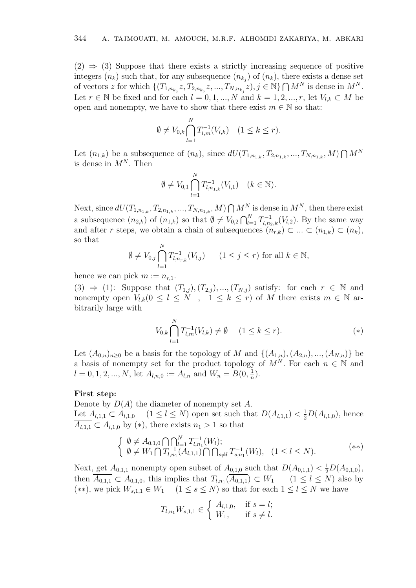$(2) \Rightarrow (3)$  Suppose that there exists a strictly increasing sequence of positive integers  $(n_k)$  such that, for any subsequence  $(n_{k_j})$  of  $(n_k)$ , there exists a dense set of vectors z for which  $\{(T_{1,n_{k_j}}z, T_{2,n_{k_j}}z, ..., T_{N,n_{k_j}}z), j \in \mathbb{N}\} \cap M^N$  is dense in  $M^N$ . Let  $r \in \mathbb{N}$  be fixed and for each  $l = 0, 1, ..., N$  and  $k = 1, 2, ..., r$ , let  $V_{l,k} \subset M$  be open and nonempty, we have to show that there exist  $m \in \mathbb{N}$  so that:

$$
\emptyset \neq V_{0,k} \bigcap_{l=1}^{N} T_{l,m}^{-1}(V_{l,k}) \quad (1 \leq k \leq r).
$$

Let  $(n_{1,k})$  be a subsequence of  $(n_k)$ , since  $dU(T_{1,n_{1,k}}, T_{2,n_{1,k}}, ..., T_{N,n_{1,k}}, M) \bigcap M^N$ is dense in  $M^N$ . Then

$$
\emptyset \neq V_{0,1} \bigcap_{l=1}^{N} T_{l,n_{1,k}}^{-1}(V_{l,1}) \quad (k \in \mathbb{N}).
$$

Next, since  $dU(T_{1,n_{1,k}}, T_{2,n_{1,k}}, ..., T_{N,n_{1,k}}, M) \bigcap M^N$  is dense in  $M^N$ , then there exist a subsequence  $(n_{2,k})$  of  $(n_{1,k})$  so that  $\emptyset \neq V_{0,2} \bigcap_{l=1}^{N} T_{l,n_2,k}^{-1}(V_{l,2})$ . By the same way and after *r* steps, we obtain a chain of subsequences  $(n_{r,k}) \subset \ldots \subset (n_{1,k}) \subset (n_k)$ , so that

$$
\emptyset \neq V_{0,j} \bigcap_{l=1}^N T_{l,n_{r,k}}^{-1}(V_{l,j}) \qquad (1 \leq j \leq r) \text{ for all } k \in \mathbb{N},
$$

hence we can pick  $m := n_{r,1}$ .

 $(3) \Rightarrow (1)$ : Suppose that  $(T_{1,j})$ ,  $(T_{2,j})$ , ...,  $(T_{N,j})$  satisfy: for each  $r \in \mathbb{N}$  and nonempty open  $V_{l,k}$   $(0 \leq l \leq N, 1 \leq k \leq r)$  of *M* there exists  $m \in \mathbb{N}$  arbitrarily large with

$$
V_{0,k} \bigcap_{l=1}^{N} T_{l,m}^{-1}(V_{l,k}) \neq \emptyset \quad (1 \le k \le r). \tag{*}
$$

Let  $(A_{0,n})_{n\geq 0}$  be a basis for the topology of *M* and  $\{(A_{1,n}), (A_{2,n}), ..., (A_{N,n})\}$  be a basis of nonempty set for the product topology of  $M^N$ . For each  $n \in \mathbb{N}$  and  $l = 0, 1, 2, ..., N$ , let  $A_{l,n,0} := A_{l,n}$  and  $W_n = B(0, \frac{1}{n})$  $\frac{1}{n}$ .

### **First step:**

Denote by *D*(*A*) the diameter of nonempty set *A*. Let *A*<sub>*l*</sub>,<sub>1</sub>,<sub>1</sub> ⊂ *A*<sub>*l*,1</sub>,<sup>0</sup> (1 ≤ *l* ≤ *N*) open set such that  $D(A_{l,1,1}) < \frac{1}{2}D(A_{l,1,0})$ , hence  $\overline{A_{l,1,1}} \subset A_{l,1,0}$  by (\*), there exists  $n_1 > 1$  so that

$$
\begin{cases} \emptyset \neq A_{0,1,0} \bigcap_{l=1}^{N} T_{l,n_1}^{-1}(W_l); \\ \emptyset \neq W_1 \bigcap T_{l,n_1}^{-1}(A_{l,1,1}) \bigcap \bigcap_{s \neq l} T_{s,n_1}^{-1}(W_l), \quad (1 \leq l \leq N). \end{cases} (*)
$$

Next, get  $A_{0,1,1}$  nonempty open subset of  $A_{0,1,0}$  such that  $D(A_{0,1,1}) < \frac{1}{2}D(A_{0,1,0}),$ then  $A_{0,1,1} \subset A_{0,1,0}$ , this implies that  $T_{l,n_1}(A_{0,1,1}) \subset W_1$  (1  $\leq l \leq N$ ) also by  $(**)$ , we pick  $W_{s,1,1}$  ∈  $W_1$  (1 ≤  $s$  ≤  $N$ ) so that for each 1 ≤  $l$  ≤  $N$  we have

$$
T_{l,n_1}W_{s,1,1} \in \begin{cases} A_{l,1,0}, & \text{if } s = l; \\ W_1, & \text{if } s \neq l. \end{cases}
$$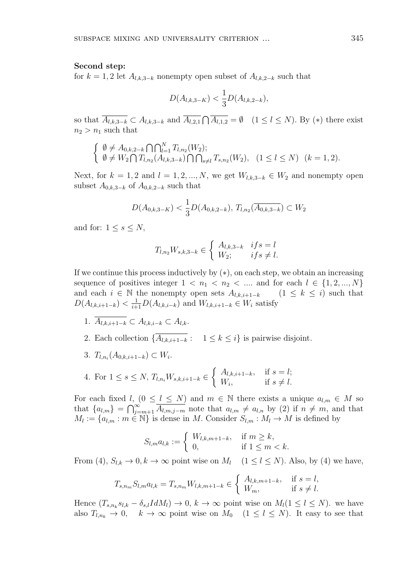#### **Second step:**

for  $k = 1, 2$  let  $A_{l,k,3-k}$  nonempty open subset of  $A_{l,k,2-k}$  such that

$$
D(A_{l,k,3-K}) < \frac{1}{3}D(A_{l,k,2-k}),
$$

so that  $\overline{A_{l,k,3-k}} \subset A_{l,k,3-k}$  and  $\overline{A_{l,2,1}} \cap \overline{A_{l,1,2}} = \emptyset$   $(1 \leq l \leq N)$ . By (\*) there exist  $n_2 > n_1$  such that

$$
\begin{cases} \emptyset \neq A_{0,k,2-k} \bigcap \bigcap_{l=1}^{N} T_{l,n_2}(W_2); \\ \emptyset \neq W_2 \bigcap T_{l,n_2}(A_{l,k,3-k}) \bigcap \bigcap_{s \neq l} T_{s,n_2}(W_2), \quad (1 \leq l \leq N) \quad (k = 1,2). \end{cases}
$$

Next, for  $k = 1, 2$  and  $l = 1, 2, ..., N$ , we get  $W_{l,k,3-k} \in W_2$  and nonempty open subset  $A_{0,k,3-k}$  of  $A_{0,k,2-k}$  such that

$$
D(A_{0,k,3-K}) < \frac{1}{3} D(A_{0,k,2-k}), \, T_{l,n_2}(\overline{A_{0,k,3-k}}) \subset W_2
$$

and for:  $1 \leq s \leq N$ ,

$$
T_{l,n_2}W_{s,k,3-k} \in \begin{cases} A_{l,k,3-k} & if s = l \\ W_2; & if s \neq l. \end{cases}
$$

If we continue this process inductively by (*∗*), on each step, we obtain an increasing sequence of positives integer  $1 \lt n_1 \lt n_2 \lt \ldots$  and for each  $l \in \{1, 2, ..., N\}$ and each  $i \in \mathbb{N}$  the nonempty open sets  $A_{l,k,i+1-k}$  (1  $\leq k \leq i$ ) such that  $D(A_{l,k,i+1-k}) < \frac{1}{i+1}D(A_{l,k,i-k})$  and  $W_{l,k,i+1-k} \in W_i$  satisfy

- 1.  $\overline{A_{l,k,i+1-k}}$  ⊂  $A_{l,k,i-k}$  ⊂  $A_{l,k}$ .
- 2. Each collection  $\{\overline{A_{l,k,i+1-k}}: 1 \leq k \leq i\}$  is pairwise disjoint.
- 3. *T*<sub>*l*,*n*<sub>*i*</sub></sub>(*A*<sub>0</sub>,*k*,*i*+1−*k*) ⊂ *W*<sup>*i*</sup>.

4. For 
$$
1 \le s \le N
$$
,  $T_{l,n_i} W_{s,k,i+1-k} \in \begin{cases} A_{l,k,i+1-k}, & \text{if } s = l; \\ W_i, & \text{if } s \ne l. \end{cases}$ 

For each fixed  $l$ ,  $(0 \leq l \leq N)$  and  $m \in \mathbb{N}$  there exists a unique  $a_{l,m} \in M$  so that  ${a_{l,m}} = \bigcap_{j=m+1}^{\infty} \overline{A_{l,m,j-m}}$  note that  $a_{l,m} \neq a_{l,n}$  by (2) if  $n \neq m$ , and that  $M_l := \{a_{l,m} : m \in \mathbb{N}\}\$ is dense in *M*. Consider  $S_{l,m} : M_l \to M$  is defined by

$$
S_{l,m}a_{l,k} := \begin{cases} W_{l,k,m+1-k}, & \text{if } m \ge k, \\ 0, & \text{if } 1 \le m < k. \end{cases}
$$

From (4),  $S_{l,k} \to 0, k \to \infty$  point wise on  $M_l$  ( $1 \leq l \leq N$ ). Also, by (4) we have,

$$
T_{s,n_m} S_{l,m} a_{l,k} = T_{s,n_m} W_{l,k,m+1-k} \in \begin{cases} A_{l,k,m+1-k}, & \text{if } s = l, \\ W_m, & \text{if } s \neq l. \end{cases}
$$

Hence  $(T_{s,n_k}s_{l,k} - \delta_{s,l}IdM_l) \to 0, k \to \infty$  point wise on  $M_l(1 \leq l \leq N)$ . we have also  $T_{l,n_k} \to 0$ ,  $k \to \infty$  point wise on  $M_0$   $(1 \leq l \leq N)$ . It easy to see that